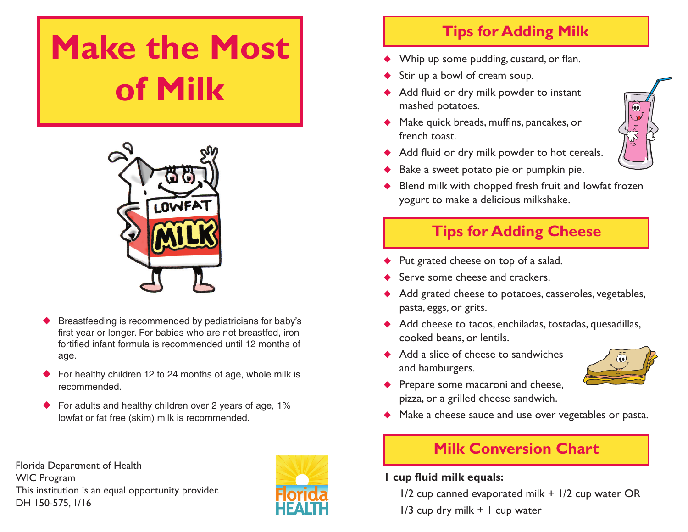# **Make the Most of Milk**



- Breastfeeding is recommended by pediatricians for baby's first year or longer. For babies who are not breastfed, iron fortified infant formula is recommended until 12 months of age.
- ◆ For healthy children 12 to 24 months of age, whole milk is recommended.
- For adults and healthy children over 2 years of age, 1% lowfat or fat free (skim) milk is recommended.

Florida Department of Health WIC Program This institution is an equal opportunity provider. DH 150-575, 1/16



# **Tips for Adding Milk**

- Whip up some pudding, custard, or flan.
- Stir up a bowl of cream soup.
- ◆ Add fluid or dry milk powder to instant mashed potatoes.
- ◆ Make quick breads, muffins, pancakes, or french toast.
- ◆ Add fluid or dry milk powder to hot cereals.
- Bake a sweet potato pie or pumpkin pie.
- Blend milk with chopped fresh fruit and lowfat frozen yogurt to make a delicious milkshake.

# **Tips for Adding Cheese**

- Put grated cheese on top of a salad.
- Serve some cheese and crackers.
- Add grated cheese to potatoes, casseroles, vegetables, pasta, eggs, or grits.
- ◆ Add cheese to tacos, enchiladas, tostadas, quesadillas, cooked beans, or lentils.
- ◆ Add a slice of cheese to sandwiches and hamburgers.



- Prepare some macaroni and cheese, pizza, or a grilled cheese sandwich.
- ◆ Make a cheese sauce and use over vegetables or pasta.

# **Milk Conversion Chart**

#### **1 cup fluid milk equals:**

1/2 cup canned evaporated milk + 1/2 cup water OR

 $1/3$  cup dry milk  $+$  1 cup water